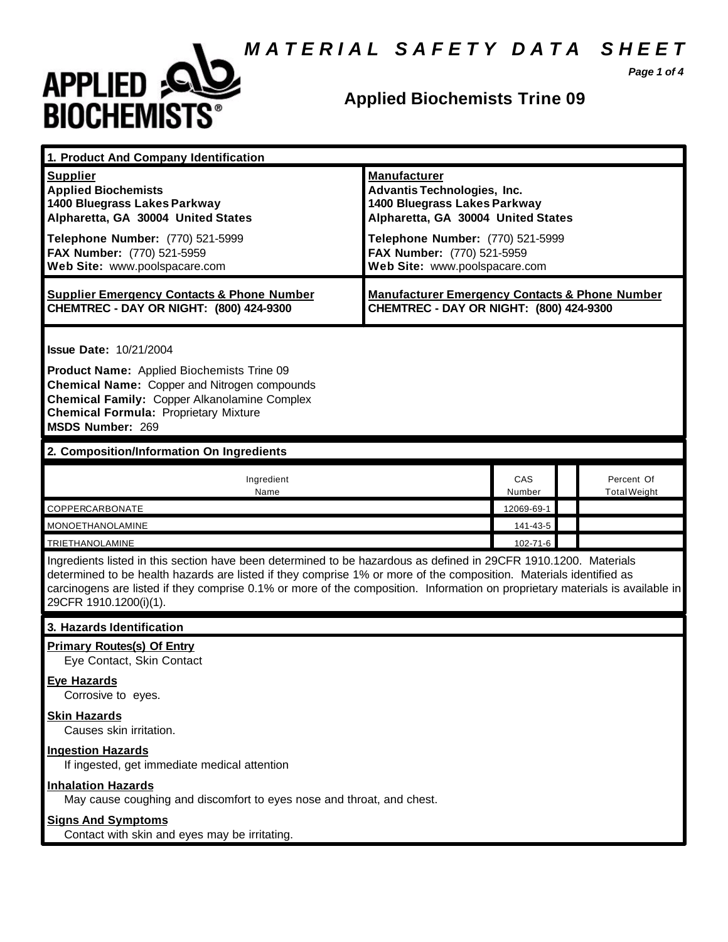*M A T E R I A L S A F E T Y D A T A S H E E T*



### **Applied Biochemists Trine 09**

*Page 1 of 4*

| 1. Product And Company Identification                                                                                                                                                                                                                                                                                                                                                             |                                                                                                                                                                                                                                    |               |  |                                   |
|---------------------------------------------------------------------------------------------------------------------------------------------------------------------------------------------------------------------------------------------------------------------------------------------------------------------------------------------------------------------------------------------------|------------------------------------------------------------------------------------------------------------------------------------------------------------------------------------------------------------------------------------|---------------|--|-----------------------------------|
| <b>Supplier</b><br><b>Applied Biochemists</b><br>1400 Bluegrass Lakes Parkway<br>Alpharetta, GA 30004 United States<br>Telephone Number: (770) 521-5999<br>FAX Number: (770) 521-5959<br>Web Site: www.poolspacare.com                                                                                                                                                                            | <b>Manufacturer</b><br><b>Advantis Technologies, Inc.</b><br>1400 Bluegrass Lakes Parkway<br>Alpharetta, GA 30004 United States<br>Telephone Number: (770) 521-5999<br>FAX Number: (770) 521-5959<br>Web Site: www.poolspacare.com |               |  |                                   |
| <b>Supplier Emergency Contacts &amp; Phone Number</b><br>CHEMTREC - DAY OR NIGHT: (800) 424-9300                                                                                                                                                                                                                                                                                                  | <b>Manufacturer Emergency Contacts &amp; Phone Number</b><br>CHEMTREC - DAY OR NIGHT: (800) 424-9300                                                                                                                               |               |  |                                   |
| <b>Issue Date: 10/21/2004</b><br>Product Name: Applied Biochemists Trine 09<br><b>Chemical Name: Copper and Nitrogen compounds</b><br><b>Chemical Family: Copper Alkanolamine Complex</b><br><b>Chemical Formula: Proprietary Mixture</b><br>MSDS Number: 269                                                                                                                                     |                                                                                                                                                                                                                                    |               |  |                                   |
| 2. Composition/Information On Ingredients                                                                                                                                                                                                                                                                                                                                                         |                                                                                                                                                                                                                                    |               |  |                                   |
| Ingredient<br>Name                                                                                                                                                                                                                                                                                                                                                                                |                                                                                                                                                                                                                                    | CAS<br>Number |  | Percent Of<br><b>Total Weight</b> |
| COPPERCARBONATE                                                                                                                                                                                                                                                                                                                                                                                   |                                                                                                                                                                                                                                    | 12069-69-1    |  |                                   |
| <b>MONOETHANOLAMINE</b>                                                                                                                                                                                                                                                                                                                                                                           |                                                                                                                                                                                                                                    | 141-43-5      |  |                                   |
| <b>TRIETHANOLAMINE</b>                                                                                                                                                                                                                                                                                                                                                                            |                                                                                                                                                                                                                                    | 102-71-6      |  |                                   |
| Ingredients listed in this section have been determined to be hazardous as defined in 29CFR 1910.1200. Materials<br>determined to be health hazards are listed if they comprise 1% or more of the composition. Materials identified as<br>carcinogens are listed if they comprise 0.1% or more of the composition. Information on proprietary materials is available in<br>29CFR 1910.1200(i)(1). |                                                                                                                                                                                                                                    |               |  |                                   |
| 3. Hazards Identification                                                                                                                                                                                                                                                                                                                                                                         |                                                                                                                                                                                                                                    |               |  |                                   |
| <b>Primary Routes(s) Of Entry</b><br>Eye Contact, Skin Contact                                                                                                                                                                                                                                                                                                                                    |                                                                                                                                                                                                                                    |               |  |                                   |
| <b>Eye Hazards</b><br>Corrosive to eyes.                                                                                                                                                                                                                                                                                                                                                          |                                                                                                                                                                                                                                    |               |  |                                   |
| <b>Skin Hazards</b><br>Causes skin irritation.                                                                                                                                                                                                                                                                                                                                                    |                                                                                                                                                                                                                                    |               |  |                                   |
| <b>Ingestion Hazards</b><br>If ingested, get immediate medical attention                                                                                                                                                                                                                                                                                                                          |                                                                                                                                                                                                                                    |               |  |                                   |
| <b>Inhalation Hazards</b><br>May cause coughing and discomfort to eyes nose and throat, and chest.                                                                                                                                                                                                                                                                                                |                                                                                                                                                                                                                                    |               |  |                                   |
| <b>Signs And Symptoms</b><br>Contact with skin and eyes may be irritating.                                                                                                                                                                                                                                                                                                                        |                                                                                                                                                                                                                                    |               |  |                                   |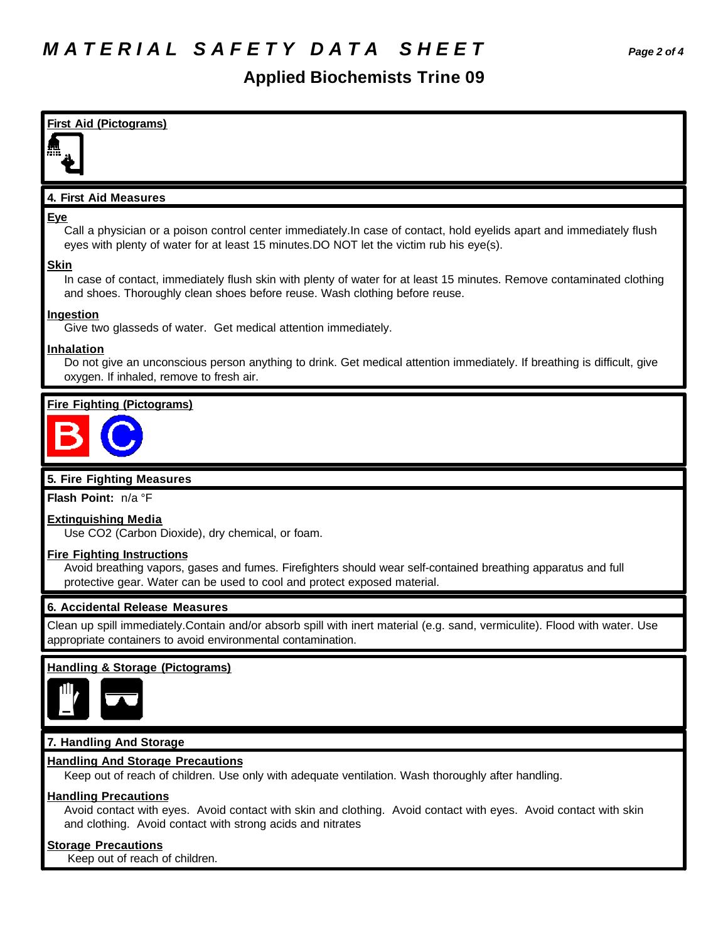### **Applied Biochemists Trine 09**



#### **Handling Precautions**

Avoid contact with eyes. Avoid contact with skin and clothing. Avoid contact with eyes. Avoid contact with skin and clothing. Avoid contact with strong acids and nitrates

#### **Storage Precautions**

Keep out of reach of children.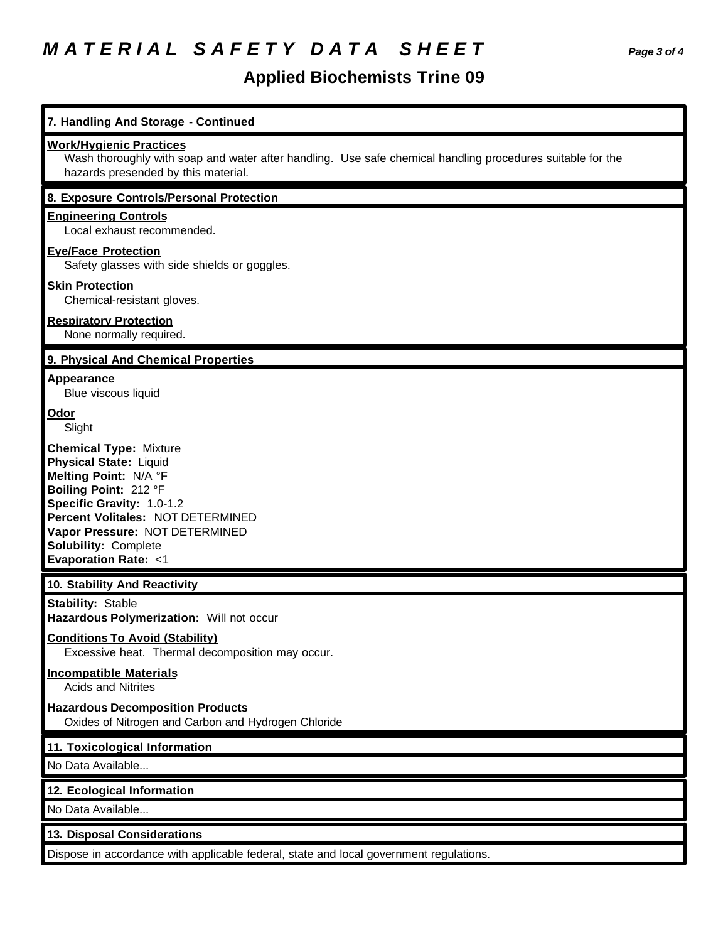# *M A T E R I A L S A F E T Y D A T A S H E E T Page 3 of 4*

# **Applied Biochemists Trine 09**

| 7. Handling And Storage - Continued                                                                                                                                                                                                                                            |
|--------------------------------------------------------------------------------------------------------------------------------------------------------------------------------------------------------------------------------------------------------------------------------|
| <b>Work/Hygienic Practices</b><br>Wash thoroughly with soap and water after handling. Use safe chemical handling procedures suitable for the<br>hazards presended by this material.                                                                                            |
| 8. Exposure Controls/Personal Protection                                                                                                                                                                                                                                       |
| <b>Engineering Controls</b><br>Local exhaust recommended.                                                                                                                                                                                                                      |
| <b>Eye/Face Protection</b><br>Safety glasses with side shields or goggles.                                                                                                                                                                                                     |
| <b>Skin Protection</b><br>Chemical-resistant gloves.                                                                                                                                                                                                                           |
| <b>Respiratory Protection</b><br>None normally required.                                                                                                                                                                                                                       |
| 9. Physical And Chemical Properties                                                                                                                                                                                                                                            |
| <b>Appearance</b><br>Blue viscous liquid                                                                                                                                                                                                                                       |
| Odor<br>Slight                                                                                                                                                                                                                                                                 |
| <b>Chemical Type: Mixture</b><br><b>Physical State: Liquid</b><br>Melting Point: N/A °F<br>Boiling Point: 212 °F<br>Specific Gravity: 1.0-1.2<br>Percent Volitales: NOT DETERMINED<br>Vapor Pressure: NOT DETERMINED<br>Solubility: Complete<br><b>Evaporation Rate: &lt;1</b> |
| 10. Stability And Reactivity                                                                                                                                                                                                                                                   |
| <b>Stability: Stable</b><br>Hazardous Polymerization: Will not occur                                                                                                                                                                                                           |
| <b>Conditions To Avoid (Stability)</b><br>Excessive heat. Thermal decomposition may occur.                                                                                                                                                                                     |
| <b>Incompatible Materials</b><br><b>Acids and Nitrites</b>                                                                                                                                                                                                                     |
| <b>Hazardous Decomposition Products</b><br>Oxides of Nitrogen and Carbon and Hydrogen Chloride                                                                                                                                                                                 |
| 11. Toxicological Information                                                                                                                                                                                                                                                  |
| No Data Available                                                                                                                                                                                                                                                              |
| 12. Ecological Information                                                                                                                                                                                                                                                     |
| No Data Available                                                                                                                                                                                                                                                              |
| 13. Disposal Considerations                                                                                                                                                                                                                                                    |
| Dispose in accordance with applicable federal, state and local government regulations.                                                                                                                                                                                         |